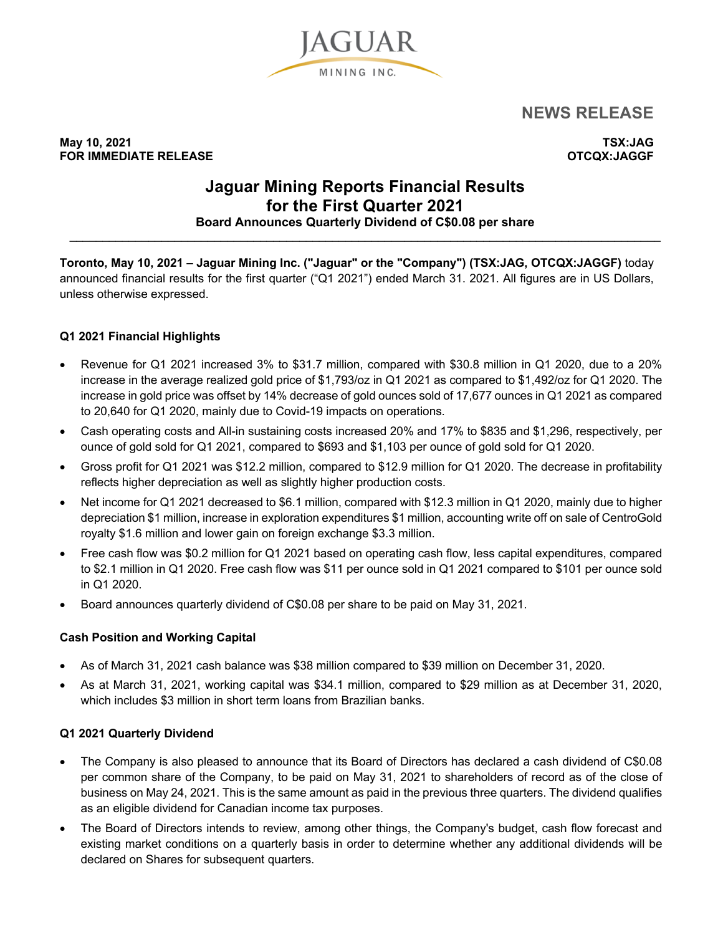

**NEWS RELEASE**

**May 10, 2021 TSX:JAG FOR IMMEDIATE RELEASE** 

# **Jaguar Mining Reports Financial Results for the First Quarter 2021**

**Board Announces Quarterly Dividend of C\$0.08 per share** \_\_\_\_\_\_\_\_\_\_\_\_\_\_\_\_\_\_\_\_\_\_\_\_\_\_\_\_\_\_\_\_\_\_\_\_\_\_\_\_\_\_\_\_\_\_\_\_\_\_\_\_\_\_\_\_\_\_\_\_\_\_\_\_\_\_\_\_\_\_\_\_\_\_\_\_\_\_\_\_\_\_\_\_\_\_\_\_\_\_

**Toronto, May 10, 2021 – Jaguar Mining Inc. ("Jaguar" or the "Company") (TSX:JAG, OTCQX:JAGGF)** today announced financial results for the first quarter ("Q1 2021") ended March 31. 2021. All figures are in US Dollars, unless otherwise expressed.

## **Q1 2021 Financial Highlights**

- Revenue for Q1 2021 increased 3% to \$31.7 million, compared with \$30.8 million in Q1 2020, due to a 20% increase in the average realized gold price of \$1,793/oz in Q1 2021 as compared to \$1,492/oz for Q1 2020. The increase in gold price was offset by 14% decrease of gold ounces sold of 17,677 ounces in Q1 2021 as compared to 20,640 for Q1 2020, mainly due to Covid-19 impacts on operations.
- Cash operating costs and All-in sustaining costs increased 20% and 17% to \$835 and \$1,296, respectively, per ounce of gold sold for Q1 2021, compared to \$693 and \$1,103 per ounce of gold sold for Q1 2020.
- Gross profit for Q1 2021 was \$12.2 million, compared to \$12.9 million for Q1 2020. The decrease in profitability reflects higher depreciation as well as slightly higher production costs.
- Net income for Q1 2021 decreased to \$6.1 million, compared with \$12.3 million in Q1 2020, mainly due to higher depreciation \$1 million, increase in exploration expenditures \$1 million, accounting write off on sale of CentroGold royalty \$1.6 million and lower gain on foreign exchange \$3.3 million.
- Free cash flow was \$0.2 million for Q1 2021 based on operating cash flow, less capital expenditures, compared to \$2.1 million in Q1 2020. Free cash flow was \$11 per ounce sold in Q1 2021 compared to \$101 per ounce sold in Q1 2020.
- Board announces quarterly dividend of C\$0.08 per share to be paid on May 31, 2021.

## **Cash Position and Working Capital**

- As of March 31, 2021 cash balance was \$38 million compared to \$39 million on December 31, 2020.
- As at March 31, 2021, working capital was \$34.1 million, compared to \$29 million as at December 31, 2020, which includes \$3 million in short term loans from Brazilian banks.

## **Q1 2021 Quarterly Dividend**

- The Company is also pleased to announce that its Board of Directors has declared a cash dividend of C\$0.08 per common share of the Company, to be paid on May 31, 2021 to shareholders of record as of the close of business on May 24, 2021. This is the same amount as paid in the previous three quarters. The dividend qualifies as an eligible dividend for Canadian income tax purposes.
- The Board of Directors intends to review, among other things, the Company's budget, cash flow forecast and existing market conditions on a quarterly basis in order to determine whether any additional dividends will be declared on Shares for subsequent quarters.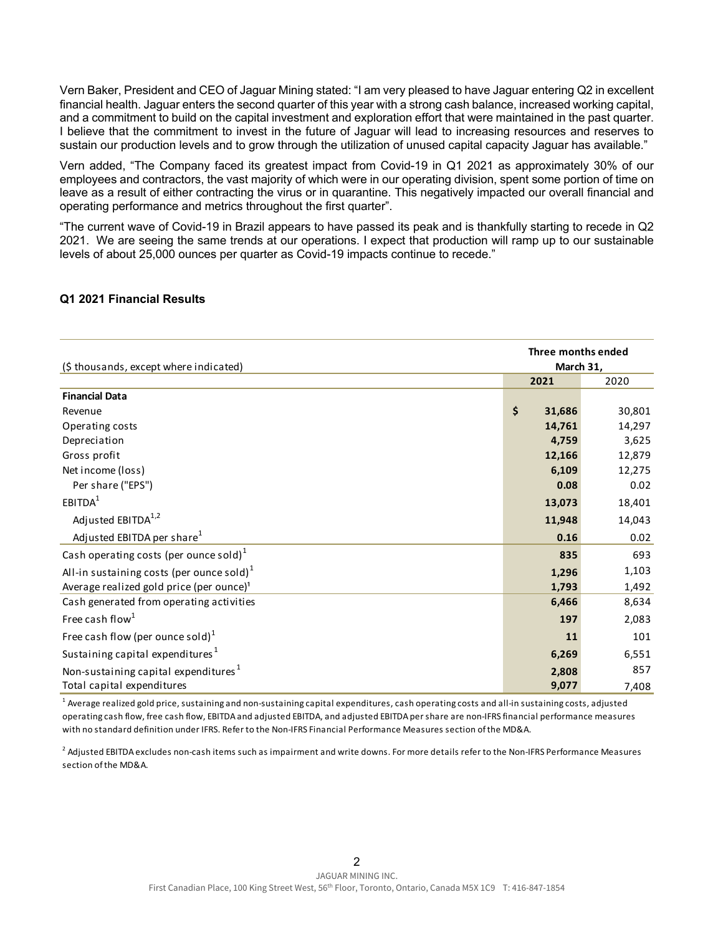Vern Baker, President and CEO of Jaguar Mining stated: "I am very pleased to have Jaguar entering Q2 in excellent financial health. Jaguar enters the second quarter of this year with a strong cash balance, increased working capital, and a commitment to build on the capital investment and exploration effort that were maintained in the past quarter. I believe that the commitment to invest in the future of Jaguar will lead to increasing resources and reserves to sustain our production levels and to grow through the utilization of unused capital capacity Jaguar has available."

Vern added, "The Company faced its greatest impact from Covid-19 in Q1 2021 as approximately 30% of our employees and contractors, the vast majority of which were in our operating division, spent some portion of time on leave as a result of either contracting the virus or in quarantine. This negatively impacted our overall financial and operating performance and metrics throughout the first quarter".

"The current wave of Covid-19 in Brazil appears to have passed its peak and is thankfully starting to recede in Q2 2021. We are seeing the same trends at our operations. I expect that production will ramp up to our sustainable levels of about 25,000 ounces per quarter as Covid-19 impacts continue to recede."

## **Q1 2021 Financial Results**

| (\$ thousands, except where indicated)               | Three months ended<br>March 31, |        |
|------------------------------------------------------|---------------------------------|--------|
|                                                      | 2021                            | 2020   |
| <b>Financial Data</b>                                |                                 |        |
| Revenue                                              | \$<br>31,686                    | 30,801 |
| Operating costs                                      | 14,761                          | 14,297 |
| Depreciation                                         | 4,759                           | 3,625  |
| Gross profit                                         | 12,166                          | 12,879 |
| Net income (loss)                                    | 6,109                           | 12,275 |
| Per share ("EPS")                                    | 0.08                            | 0.02   |
| EBITDA <sup>1</sup>                                  | 13,073                          | 18,401 |
| Adjusted EBITDA <sup>1,2</sup>                       | 11,948                          | 14,043 |
| Adjusted EBITDA per share <sup>1</sup>               | 0.16                            | 0.02   |
| Cash operating costs (per ounce sold) $1$            | 835                             | 693    |
| All-in sustaining costs (per ounce sold) $1$         | 1,296                           | 1,103  |
| Average realized gold price (per ounce) <sup>1</sup> | 1,793                           | 1,492  |
| Cash generated from operating activities             | 6,466                           | 8,634  |
| Free cash flow <sup>1</sup>                          | 197                             | 2,083  |
| Free cash flow (per ounce sold) $1$                  | 11                              | 101    |
| Sustaining capital expenditures <sup>1</sup>         | 6,269                           | 6,551  |
| Non-sustaining capital expenditures <sup>1</sup>     | 2,808                           | 857    |
| Total capital expenditures                           | 9,077                           | 7,408  |

<sup>1</sup> Average realized gold price, sustaining and non-sustaining capital expenditures, cash operating costs and all-in sustaining costs, adjusted operating cash flow, free cash flow, EBITDA and adjusted EBITDA, and adjusted EBITDA per share are non-IFRS financial performance measures with no standard definition under IFRS. Refer to the Non-IFRS Financial Performance Measures section of the MD&A.

2 Adjusted EBITDA excludes non-cash items such as impairment and write downs. For more details refer to the Non-IFRS Performance Measures section of the MD&A.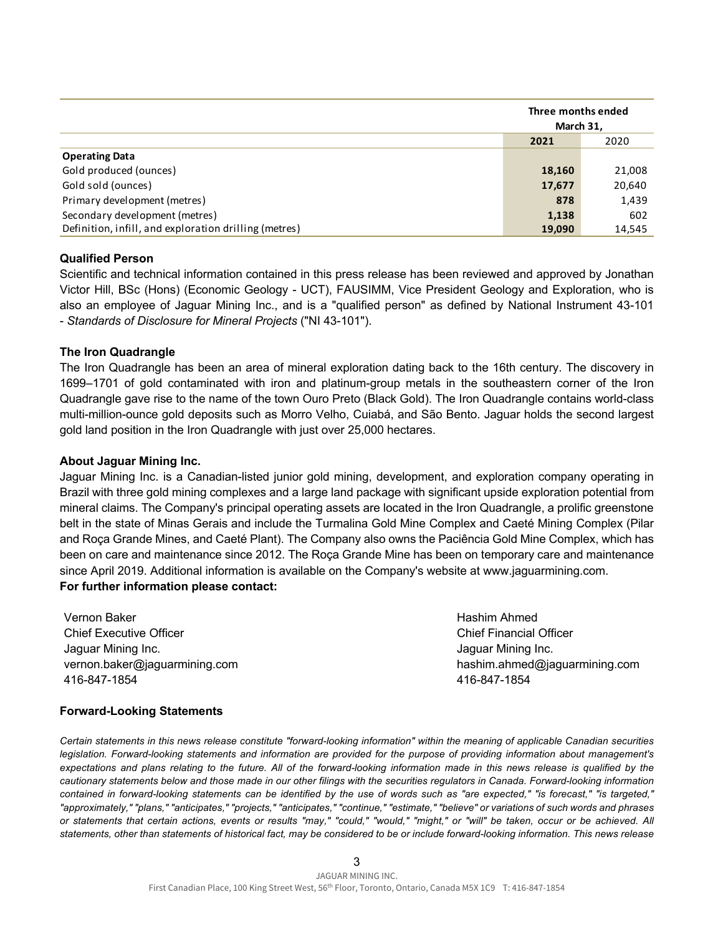|                                                       | Three months ended<br>March 31, |        |
|-------------------------------------------------------|---------------------------------|--------|
|                                                       | 2021                            | 2020   |
| <b>Operating Data</b>                                 |                                 |        |
| Gold produced (ounces)                                | 18,160                          | 21,008 |
| Gold sold (ounces)                                    | 17,677                          | 20,640 |
| Primary development (metres)                          | 878                             | 1,439  |
| Secondary development (metres)                        | 1,138                           | 602    |
| Definition, infill, and exploration drilling (metres) | 19,090                          | 14,545 |

#### **Qualified Person**

Scientific and technical information contained in this press release has been reviewed and approved by Jonathan Victor Hill, BSc (Hons) (Economic Geology - UCT), FAUSIMM, Vice President Geology and Exploration, who is also an employee of Jaguar Mining Inc., and is a "qualified person" as defined by National Instrument 43-101 - *Standards of Disclosure for Mineral Projects* ("NI 43-101").

### **The Iron Quadrangle**

The Iron Quadrangle has been an area of mineral exploration dating back to the 16th century. The discovery in 1699–1701 of gold contaminated with iron and platinum-group metals in the southeastern corner of the Iron Quadrangle gave rise to the name of the town Ouro Preto (Black Gold). The Iron Quadrangle contains world-class multi-million-ounce gold deposits such as Morro Velho, Cuiabá, and São Bento. Jaguar holds the second largest gold land position in the Iron Quadrangle with just over 25,000 hectares.

## **About Jaguar Mining Inc.**

Jaguar Mining Inc. is a Canadian-listed junior gold mining, development, and exploration company operating in Brazil with three gold mining complexes and a large land package with significant upside exploration potential from mineral claims. The Company's principal operating assets are located in the Iron Quadrangle, a prolific greenstone belt in the state of Minas Gerais and include the Turmalina Gold Mine Complex and Caeté Mining Complex (Pilar and Roça Grande Mines, and Caeté Plant). The Company also owns the Paciência Gold Mine Complex, which has been on care and maintenance since 2012. The Roça Grande Mine has been on temporary care and maintenance since April 2019. Additional information is available on the Company's website at www.jaguarmining.com. **For further information please contact:**

Vernon Baker Chief Executive Officer Jaguar Mining Inc. vernon.baker@jaguarmining.com 416-847-1854

Hashim Ahmed Chief Financial Officer Jaguar Mining Inc. hashim.ahmed@jaguarmining.com 416-847-1854

## **Forward-Looking Statements**

*Certain statements in this news release constitute "forward-looking information" within the meaning of applicable Canadian securities*  legislation. Forward-looking statements and information are provided for the purpose of providing information about management's *expectations and plans relating to the future. All of the forward-looking information made in this news release is qualified by the cautionary statements below and those made in our other filings with the securities regulators in Canada. Forward-looking information contained in forward-looking statements can be identified by the use of words such as "are expected," "is forecast," "is targeted," "approximately," "plans," "anticipates," "projects," "anticipates," "continue," "estimate," "believe" or variations of such words and phrases or statements that certain actions, events or results "may," "could," "would," "might," or "will" be taken, occur or be achieved. All statements, other than statements of historical fact, may be considered to be or include forward-looking information. This news release*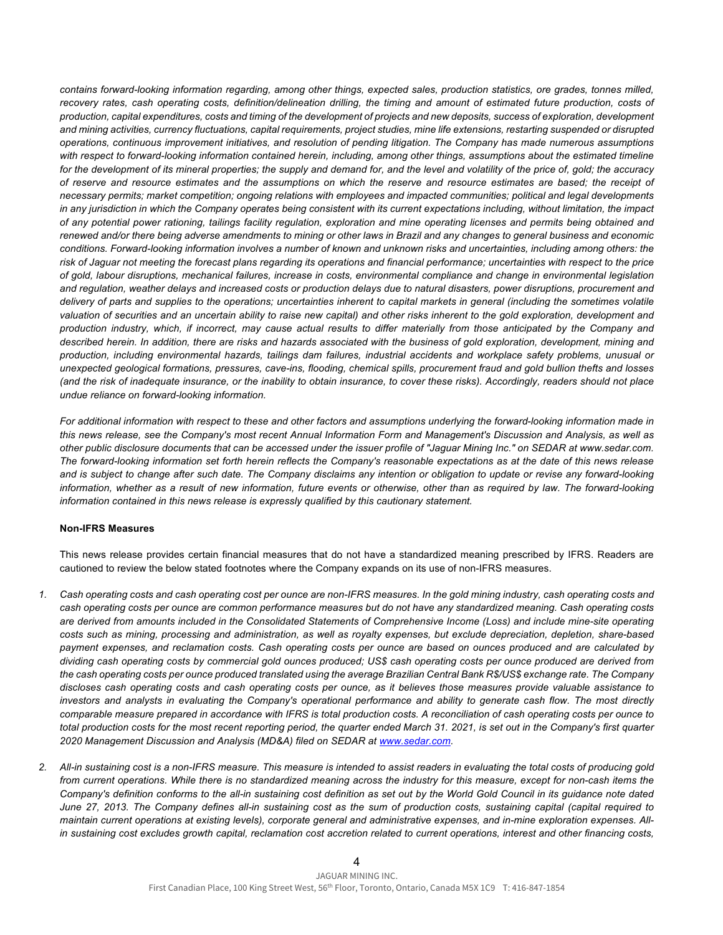*contains forward-looking information regarding, among other things, expected sales, production statistics, ore grades, tonnes milled,*  recovery rates, cash operating costs, definition/delineation drilling, the timing and amount of estimated future production, costs of *production, capital expenditures, costs and timing of the development of projects and new deposits, success of exploration, development and mining activities, currency fluctuations, capital requirements, project studies, mine life extensions, restarting suspended or disrupted operations, continuous improvement initiatives, and resolution of pending litigation. The Company has made numerous assumptions*  with respect to forward-looking information contained herein, including, among other things, assumptions about the estimated timeline *for the development of its mineral properties; the supply and demand for, and the level and volatility of the price of, gold; the accuracy of reserve and resource estimates and the assumptions on which the reserve and resource estimates are based; the receipt of necessary permits; market competition; ongoing relations with employees and impacted communities; political and legal developments in any jurisdiction in which the Company operates being consistent with its current expectations including, without limitation, the impact of any potential power rationing, tailings facility regulation, exploration and mine operating licenses and permits being obtained and renewed and/or there being adverse amendments to mining or other laws in Brazil and any changes to general business and economic conditions. Forward-looking information involves a number of known and unknown risks and uncertainties, including among others: the risk of Jaguar not meeting the forecast plans regarding its operations and financial performance; uncertainties with respect to the price of gold, labour disruptions, mechanical failures, increase in costs, environmental compliance and change in environmental legislation and regulation, weather delays and increased costs or production delays due to natural disasters, power disruptions, procurement and*  delivery of parts and supplies to the operations; uncertainties inherent to capital markets in general (including the sometimes volatile valuation of securities and an uncertain ability to raise new capital) and other risks inherent to the gold exploration, development and *production industry, which, if incorrect, may cause actual results to differ materially from those anticipated by the Company and described herein. In addition, there are risks and hazards associated with the business of gold exploration, development, mining and production, including environmental hazards, tailings dam failures, industrial accidents and workplace safety problems, unusual or unexpected geological formations, pressures, cave-ins, flooding, chemical spills, procurement fraud and gold bullion thefts and losses (and the risk of inadequate insurance, or the inability to obtain insurance, to cover these risks). Accordingly, readers should not place undue reliance on forward-looking information.*

*For additional information with respect to these and other factors and assumptions underlying the forward-looking information made in this news release, see the Company's most recent Annual Information Form and Management's Discussion and Analysis, as well as other public disclosure documents that can be accessed under the issuer profile of "Jaguar Mining Inc." on SEDAR at www.sedar.com. The forward-looking information set forth herein reflects the Company's reasonable expectations as at the date of this news release and is subject to change after such date. The Company disclaims any intention or obligation to update or revise any forward-looking information, whether as a result of new information, future events or otherwise, other than as required by law. The forward-looking information contained in this news release is expressly qualified by this cautionary statement.*

#### **Non-IFRS Measures**

This news release provides certain financial measures that do not have a standardized meaning prescribed by IFRS. Readers are cautioned to review the below stated footnotes where the Company expands on its use of non-IFRS measures.

- *1. Cash operating costs and cash operating cost per ounce are non-IFRS measures. In the gold mining industry, cash operating costs and cash operating costs per ounce are common performance measures but do not have any standardized meaning. Cash operating costs are derived from amounts included in the Consolidated Statements of Comprehensive Income (Loss) and include mine-site operating costs such as mining, processing and administration, as well as royalty expenses, but exclude depreciation, depletion, share-based payment expenses, and reclamation costs. Cash operating costs per ounce are based on ounces produced and are calculated by dividing cash operating costs by commercial gold ounces produced; US\$ cash operating costs per ounce produced are derived from the cash operating costs per ounce produced translated using the average Brazilian Central Bank R\$/US\$ exchange rate. The Company discloses cash operating costs and cash operating costs per ounce, as it believes those measures provide valuable assistance to investors and analysts in evaluating the Company's operational performance and ability to generate cash flow. The most directly comparable measure prepared in accordance with IFRS is total production costs. A reconciliation of cash operating costs per ounce to total production costs for the most recent reporting period, the quarter ended March 31. 2021, is set out in the Company's first quarter 2020 Management Discussion and Analysis (MD&A) filed on SEDAR at www.sedar.com.*
- *2. All-in sustaining cost is a non-IFRS measure. This measure is intended to assist readers in evaluating the total costs of producing gold*  from current operations. While there is no standardized meaning across the industry for this measure, except for non-cash items the *Company's definition conforms to the all-in sustaining cost definition as set out by the World Gold Council in its guidance note dated June 27, 2013. The Company defines all-in sustaining cost as the sum of production costs, sustaining capital (capital required to maintain current operations at existing levels), corporate general and administrative expenses, and in-mine exploration expenses. Allin sustaining cost excludes growth capital, reclamation cost accretion related to current operations, interest and other financing costs,*